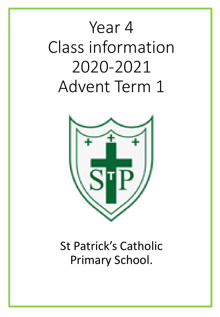# Year 4 Class information 2020-2021 Advent Term 1



# St Patrick's Catholic Primary School.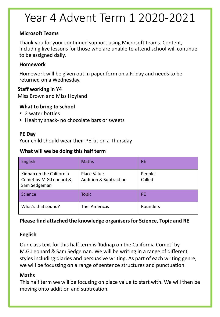# Year 4 Advent Term 1 2020-2021

#### **Microsoft Teams**

Thank you for your continued support using Microsoft teams. Content, including live lessons for those who are unable to attend school will continue to be assigned daily.

#### **Homework**

Homework will be given out in paper form on a Friday and needs to be returned on a Wednesday.

#### **Staff working in Y4**

Miss Brown and Miss Hoyland

#### **What to bring to school**

- 2 water bottles
- Healthy snack- no chocolate bars or sweets

#### **PE Day**

Your child should wear their PE kit on a Thursday

#### **What will we be doing this half term**

| English                                                            | <b>Maths</b>                                     | <b>RE</b>        |
|--------------------------------------------------------------------|--------------------------------------------------|------------------|
| Kidnap on the California<br>Comet by M.G.Leonard &<br>Sam Sedgeman | Place Value<br><b>Addition &amp; Subtraction</b> | People<br>Called |
| Science                                                            | <b>Topic</b>                                     | <b>PE</b>        |
| What's that sound?                                                 | The Americas                                     | Rounders         |

#### **Please find attached the knowledge organisers for Science, Topic and RE**

#### **English**

Our class text for this half term is 'Kidnap on the California Comet' by M.G.Leonard & Sam Sedgeman. We will be writing in a range of different styles including diaries and persuasive writing. As part of each writing genre, we will be focussing on a range of sentence structures and punctuation.

#### **Maths**

This half term we will be focusing on place value to start with. We will then be moving onto addition and subtrcation.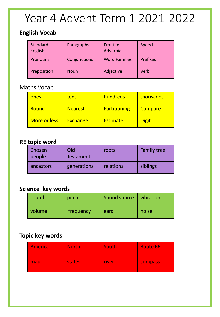# Year 4 Advent Term 1 2021-2022

### **English Vocab**

| Standard<br>English | Paragraphs   | Fronted<br>Adverbial | Speech          |
|---------------------|--------------|----------------------|-----------------|
| <b>Pronouns</b>     | Conjunctions | <b>Word Families</b> | <b>Prefixes</b> |
| Preposition         | Noun         | Adjective            | Verb            |

### Maths Vocab

| ones         | tens            | hundreds        | thousands    |
|--------------|-----------------|-----------------|--------------|
| Round        | <b>Nearest</b>  | Partitioning    | Compare      |
| More or less | <b>Exchange</b> | <b>Estimate</b> | <b>Digit</b> |

### **RE topic word**

| Chosen<br>people | Old<br><b>Testament</b> | roots     | <b>Family tree</b> |
|------------------|-------------------------|-----------|--------------------|
| ancestors        | generations             | relations | siblings           |

## **Science key words**

| sound  | pitch     | Sound source   vibration |       |
|--------|-----------|--------------------------|-------|
| volume | frequency | ears                     | noise |

## **Topic key words**

| America | <b>North</b> | South        | <b>Route 66</b> |  |  |  |  |
|---------|--------------|--------------|-----------------|--|--|--|--|
| map     | states       | <b>river</b> | compass         |  |  |  |  |